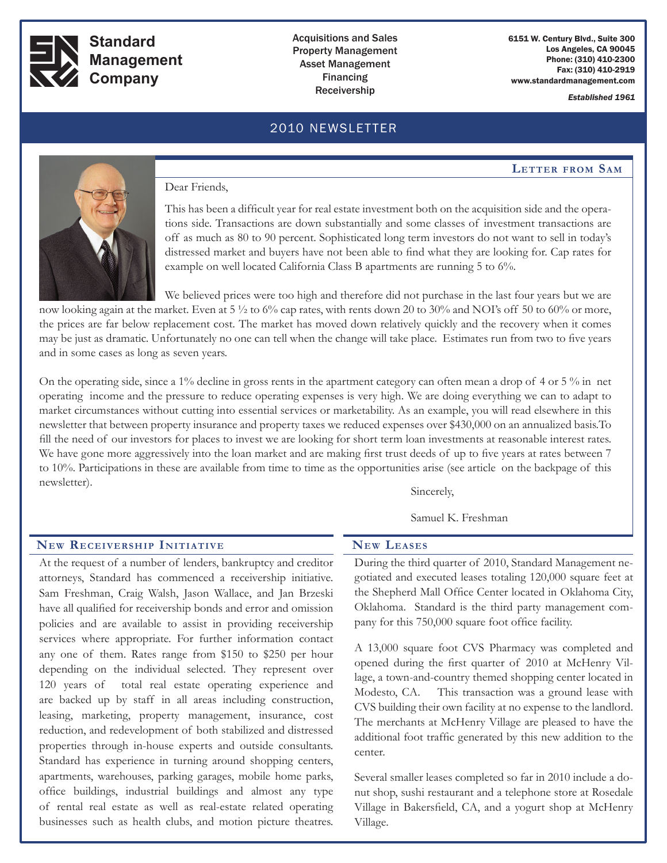

**Standard Management Company**

## Acquisitions and Sales Property Management Asset Management Financing Receivership *Established 1961*

6151 W. Century Blvd., Suite 300 Los Angeles, CA 90045 Phone: (310) 410-2300 Fax: (310) 410-2919 www.standardmanagement.com

# 2010 NEWSLETTER

#### **Letter from Sam**



#### Dear Friends,

apartments, warehouses, parking garages, mobile home parks, office buildings, industrial buildings and almost any type of rental real estate as well as real-estate related operating businesses such as health clubs, and motion picture theatres.

This has been a difficult year for real estate investment both on the acquisition side and the operations side. Transactions are down substantially and some classes of investment transactions are off as much as 80 to 90 percent. Sophisticated long term investors do not want to sell in today's distressed market and buyers have not been able to find what they are looking for. Cap rates for example on well located California Class B apartments are running 5 to 6%.

We believed prices were too high and therefore did not purchase in the last four years but we are now looking again at the market. Even at 5 ½ to 6% cap rates, with rents down 20 to 30% and NOI's off 50 to 60% or more, the prices are far below replacement cost. The market has moved down relatively quickly and the recovery when it comes may be just as dramatic. Unfortunately no one can tell when the change will take place. Estimates run from two to five years and in some cases as long as seven years.

On the operating side, since a 1% decline in gross rents in the apartment category can often mean a drop of 4 or 5 % in net operating income and the pressure to reduce operating expenses is very high. We are doing everything we can to adapt to market circumstances without cutting into essential services or marketability. As an example, you will read elsewhere in this newsletter that between property insurance and property taxes we reduced expenses over \$430,000 on an annualized basis.To fill the need of our investors for places to invest we are looking for short term loan investments at reasonable interest rates. We have gone more aggressively into the loan market and are making first trust deeds of up to five years at rates between 7 to 10%. Participations in these are available from time to time as the opportunities arise (see article on the backpage of this newsletter).

Sincerely,

Samuel K. Freshman

#### At the request of a number of lenders, bankruptcy and creditor attorneys, Standard has commenced a receivership initiative. Sam Freshman, Craig Walsh, Jason Wallace, and Jan Brzeski have all qualified for receivership bonds and error and omission **New Receivership Initiative** During the third quarter of 2010, Standard Management negotiated and executed leases totaling 120,000 square feet at the Shepherd Mall Office Center located in Oklahoma City, Oklahoma. Standard is the third party management com-**New Leases**

policies and are available to assist in providing receivership services where appropriate. For further information contact any one of them. Rates range from \$150 to \$250 per hour depending on the individual selected. They represent over 120 years of total real estate operating experience and are backed up by staff in all areas including construction, leasing, marketing, property management, insurance, cost reduction, and redevelopment of both stabilized and distressed properties through in-house experts and outside consultants. Standard has experience in turning around shopping centers, pany for this 750,000 square foot office facility. A 13,000 square foot CVS Pharmacy was completed and opened during the first quarter of 2010 at McHenry Village, a town-and-country themed shopping center located in Modesto, CA. This transaction was a ground lease with CVS building their own facility at no expense to the landlord. The merchants at McHenry Village are pleased to have the additional foot traffic generated by this new addition to the center.

> Several smaller leases completed so far in 2010 include a donut shop, sushi restaurant and a telephone store at Rosedale Village in Bakersfield, CA, and a yogurt shop at McHenry Village.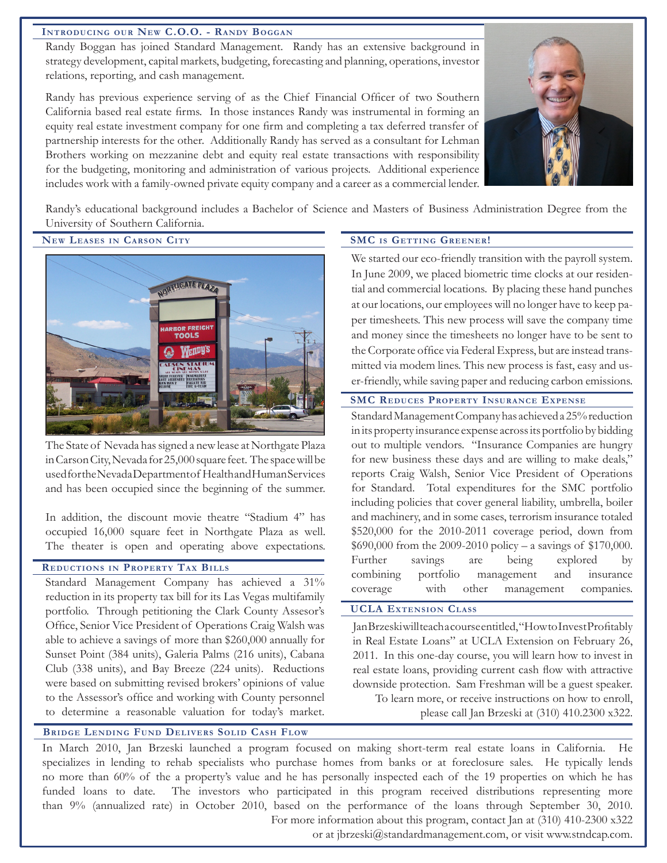#### **Introducing our New C.O.O. - Randy Boggan**

Randy Boggan has joined Standard Management. Randy has an extensive background in strategy development, capital markets, budgeting, forecasting and planning, operations, investor relations, reporting, and cash management.

Randy has previous experience serving of as the Chief Financial Officer of two Southern California based real estate firms. In those instances Randy was instrumental in forming an equity real estate investment company for one firm and completing a tax deferred transfer of partnership interests for the other. Additionally Randy has served as a consultant for Lehman Brothers working on mezzanine debt and equity real estate transactions with responsibility for the budgeting, monitoring and administration of various projects. Additional experience includes work with a family-owned private equity company and a career as a commercial lender.



Randy's educational background includes a Bachelor of Science and Masters of Business Administration Degree from the University of Southern California.

**New Leases in Carson City SMC is Getting Greener!**



The State of Nevada has signed a new lease at Northgate Plaza in Carson City, Nevada for 25,000 square feet. The space will be used for the Nevada Department of Health and Human Services and has been occupied since the beginning of the summer.

In addition, the discount movie theatre "Stadium 4" has occupied 16,000 square feet in Northgate Plaza as well. The theater is open and operating above expectations.

## **Reductions in Property Tax Bills**

Standard Management Company has achieved a 31% reduction in its property tax bill for its Las Vegas multifamily portfolio. Through petitioning the Clark County Assesor's Office, Senior Vice President of Operations Craig Walsh was able to achieve a savings of more than \$260,000 annually for Sunset Point (384 units), Galeria Palms (216 units), Cabana Club (338 units), and Bay Breeze (224 units). Reductions were based on submitting revised brokers' opinions of value to the Assessor's office and working with County personnel to determine a reasonable valuation for today's market.

We started our eco-friendly transition with the payroll system. In June 2009, we placed biometric time clocks at our residential and commercial locations. By placing these hand punches at our locations, our employees will no longer have to keep paper timesheets. This new process will save the company time and money since the timesheets no longer have to be sent to the Corporate office via Federal Express, but are instead transmitted via modem lines. This new process is fast, easy and user-friendly, while saving paper and reducing carbon emissions.

#### **SMC Reduces Property Insurance Expense**

Standard Management Company has achieved a 25% reduction in its property insurance expense across its portfolio by bidding out to multiple vendors. "Insurance Companies are hungry for new business these days and are willing to make deals," reports Craig Walsh, Senior Vice President of Operations for Standard. Total expenditures for the SMC portfolio including policies that cover general liability, umbrella, boiler and machinery, and in some cases, terrorism insurance totaled \$520,000 for the 2010-2011 coverage period, down from \$690,000 from the 2009-2010 policy – a savings of \$170,000. Further savings are being explored by combining portfolio management and insurance coverage with other management companies.

#### UCLA Extension Class **UCLA Extension Class**

Jan Brzeski will teach a course entitled, "How to Invest Profitably in Real Estate Loans" at UCLA Extension on February 26, 2011. In this one-day course, you will learn how to invest in real estate loans, providing current cash flow with attractive downside protection. Sam Freshman will be a guest speaker. To learn more, or receive instructions on how to enroll, please call Jan Brzeski at (310) 410.2300 x322.

#### Bridge Lending Fund Delivers Solid Cash Flow **Bridge Lending Fund Delivers Solid Cash Flow**

In March 2010, Jan Brzeski launched a program focused on making short-term real estate loans in California. He specializes in lending to rehab specialists who purchase homes from banks or at foreclosure sales. He typically lends no more than 60% of the a property's value and he has personally inspected each of the 19 properties on which he has funded loans to date. The investors who participated in this program received distributions representing more than 9% (annualized rate) in October 2010, based on the performance of the loans through September 30, 2010. For more information about this program, contact Jan at (310) 410-2300 x322

or at jbrzeski@standardmanagement.com, or visit www.stndcap.com.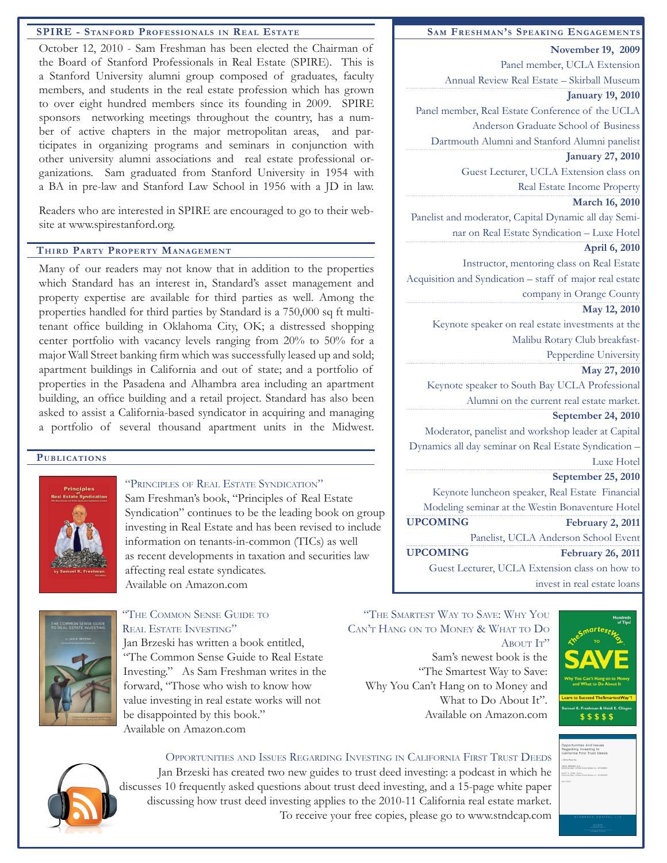#### **SPIRE - Stanford Professionals in Real Estate**

October 12, 2010 - Sam Freshman has been elected the Chairman of the Board of Stanford Professionals in Real Estate (SPIRE). This is a Stanford University alumni group composed of graduates, faculty members, and students in the real estate profession which has grown to over eight hundred members since its founding in 2009. SPIRE sponsors networking meetings throughout the country, has a number of active chapters in the major metropolitan areas, and participates in organizing programs and seminars in conjunction with other university alumni associations and real estate professional organizations. Sam graduated from Stanford University in 1954 with a BA in pre-law and Stanford Law School in 1956 with a JD in law.

Readers who are interested in SPIRE are encouraged to go to their website at www.spirestanford.org.

#### **Third Party Property Management**

Many of our readers may not know that in addition to the properties which Standard has an interest in, Standard's asset management and property expertise are available for third parties as well. Among the properties handled for third parties by Standard is a 750,000 sq ft multitenant office building in Oklahoma City, OK; a distressed shopping center portfolio with vacancy levels ranging from 20% to 50% for a major Wall Street banking firm which was successfully leased up and sold; apartment buildings in California and out of state; and a portfolio of properties in the Pasadena and Alhambra area including an apartment building, an office building and a retail project. Standard has also been asked to assist a California-based syndicator in acquiring and managing a portfolio of several thousand apartment units in the Midwest.

#### **Publications**



#### "Principles of Real Estate Syndication"

Sam Freshman's book, "Principles of Real Estate Syndication" continues to be the leading book on group investing in Real Estate and has been revised to include information on tenants-in-common (TICs) as well as recent developments in taxation and securities law affecting real estate syndicates. Available on Amazon.com



# "The Common Sense Guide to REAL ESTATE INVESTING"

Jan Brzeski has written a book entitled, "The Common Sense Guide to Real Estate Investing." As Sam Freshman writes in the forward, "Those who wish to know how value investing in real estate works will not be disappointed by this book." Available on Amazon.com

#### **Sam Freshman's Speaking Engagements**

**November 19, 2009**  Panel member, UCLA Extension Annual Review Real Estate – Skirball Museum

#### **January 19, 2010**

Panel member, Real Estate Conference of the UCLA

Anderson Graduate School of Business

Dartmouth Alumni and Stanford Alumni panelist **January 27, 2010** 

Guest Lecturer, UCLA Extension class on Real Estate Income Property

#### **March 16, 2010**

Panelist and moderator, Capital Dynamic all day Seminar on Real Estate Syndication – Luxe Hotel

## **April 6, 2010**

 Instructor, mentoring class on Real Estate Acquisition and Syndication – staff of major real estate company in Orange County

#### **May 12, 2010**

Keynote speaker on real estate investments at the Malibu Rotary Club breakfast-

Pepperdine University

#### **May 27, 2010**

Keynote speaker to South Bay UCLA Professional Alumni on the current real estate market.

#### **September 24, 2010**

Moderator, panelist and workshop leader at Capital Dynamics all day seminar on Real Estate Syndication – Luxe Hotel

### **September 25, 2010**

Keynote luncheon speaker, Real Estate Financial Modeling seminar at the Westin Bonaventure Hotel **February 2, 2011** Panelist, UCLA Anderson School Event **February 26, 2011**  Guest Lecturer, UCLA Extension class on how to invest in real estate loans **UPCOMING UPCOMING**

Sam's newest book is the "The Smartest Way to Save: Why You Can't Hang on to Money and What to Do About It". Available on Amazon.com "The Smartest Way to Save: Why You Can't Hang on to Money & What to Do ABOUT IT"





## Opportunities and Issues Regarding Investing in California First Trust Deeds

Jan Brzeski has created two new guides to trust deed investing: a podcast in which he discusses 10 frequently asked questions about trust deed investing, and a 15-page white paper discussing how trust deed investing applies to the 2010-11 California real estate market. To receive your free copies, please go to www.stndcap.com